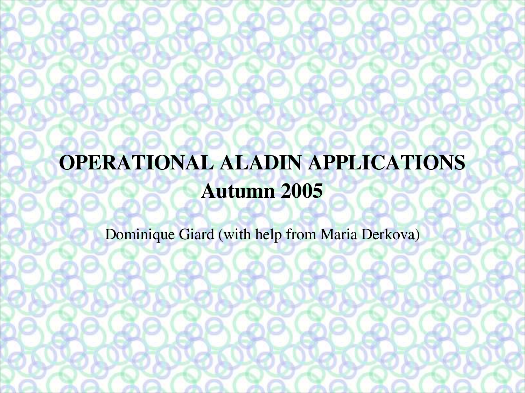# OPERATIONAL ALADIN APPLICATIONS Autumn 2005

Dominique Giard (with help from Maria Derkova)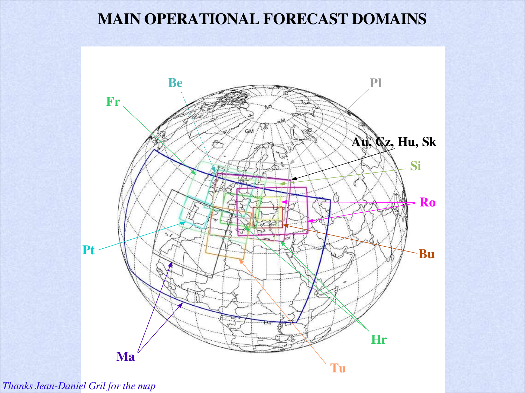#### MAIN OPERATIONAL FORECAST DOMAINS



*Thanks Jean-Daniel Gril for the map*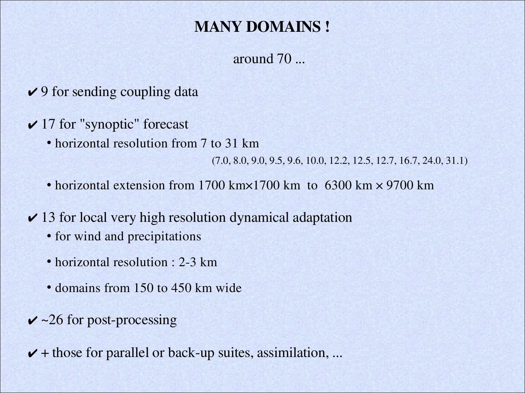#### MANY DOMAINS !

around 70 ...

- $\vee$  9 for sending coupling data
- $\vee$  17 for "synoptic" forecast
	- horizontal resolution from 7 to 31 km

(7.0, 8.0, 9.0, 9.5, 9.6, 10.0, 12.2, 12.5, 12.7, 16.7, 24.0, 31.1)

- horizontal extension from 1700 km×1700 km to 6300 km × 9700 km
- $\vee$  13 for local very high resolution dynamical adaptation
	- for wind and precipitations
	- horizontal resolution : 2-3 km
	- domains from 150 to 450 km wide
- $\checkmark$  ~26 for post-processing

 $\blacktriangleright$  + those for parallel or back-up suites, assimilation, ...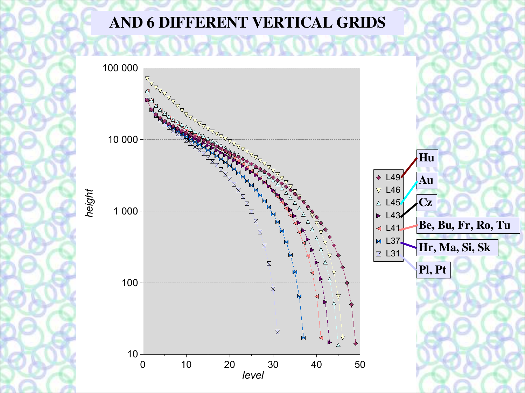### AND 6 DIFFERENT VERTICAL GRIDS

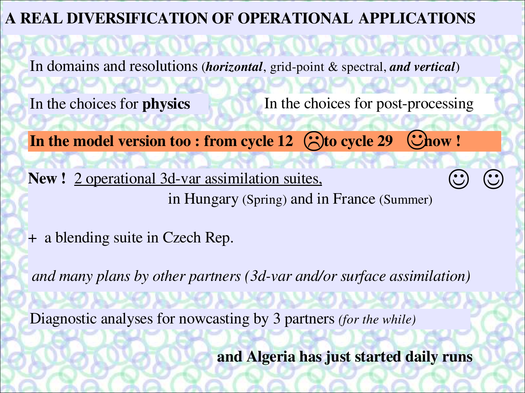#### A REAL DIVERSIFICATION OF OPERATIONAL APPLICATIONS

In domains and resolutions *(horizontal, grid-point & spectral, and vertical)* 

**SOVETS OVER OVER OVER** 

In the choices for **physics** 

In the choices for post-processing

 $\odot$   $\odot$ 

In the model version too : from cycle  $12$   $\bigodot$  to cycle  $29$   $\bigodot$  how !

New ! 2 operational 3d-var assimilation suites, in Hungary (Spring) and in France (Summer)

+ a blending suite in Czech Rep.

*and many plans by other partners* (3*d-var and/or surface assimilation*) RWA RWA RWA R

Diagnostic analyses for nowcasting by 3 partners *(for the while)*

and Algeria has just started daily runs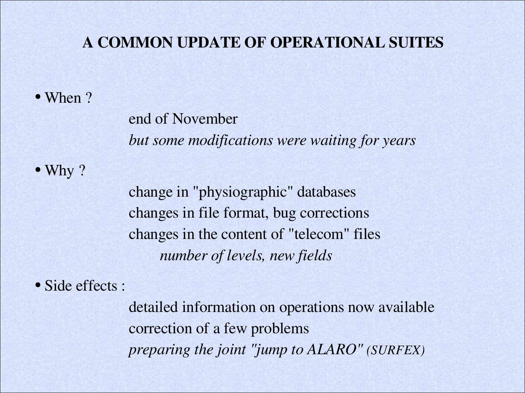#### A COMMON UPDATE OF OPERATIONAL SUITES

#### • When ?

end of November *but some modifications were waiting for years*

• Why ?

change in "physiographic" databases changes in file format, bug corrections changes in the content of "telecom" files *number of levels, new fields*

• Side effects :

detailed information on operations now available correction of a few problems *preparing the joint "jump to ALARO" (SURFEX)*